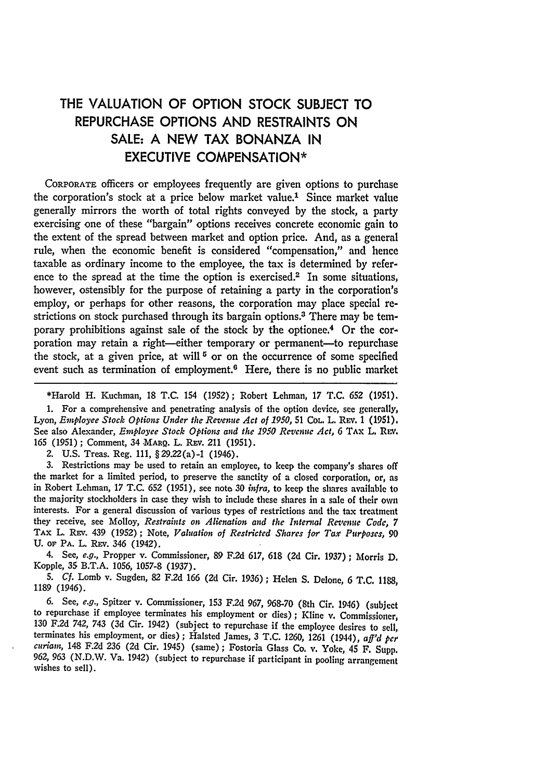## THE **VALUATION** OF **OPTION** STOCK **SUBJECT** TO REPURCHASE **OPTIONS AND** RESTRAINTS **ON SALE: A NEW** TAX **BONANZA IN EXECUTIVE COMPENSATION\***

CORPORATE officers or employees frequently are given options to purchase the corporation's stock at a price below market value.' Since market value generally mirrors the worth of total rights conveyed by the stock, a party exercising one of these "bargain" options receives concrete economic gain to the extent of the spread between market and option price. And, as a general rule, when the economic benefit is considered "compensation," and hence taxable as ordinary income to the employee, the tax is determined by reference to the spread at the time the option is exercised.2 In some situations, however, ostensibly for the purpose of retaining a party in the corporation's employ, or perhaps for other reasons, the corporation may place special restrictions on stock purchased through its bargain options.3 There may be temporary prohibitions against sale of the stock by the optionee.4 Or the corporation may retain a right-either temporary or permanent-to repurchase the stock, at a given price, at will **5** or on the occurrence of some specified event such as termination of employment.<sup>6</sup> Here, there is no public market

\*Harold H. Kuchman, 18 T.C. 154 (1952); Robert Lehman, 17 T.C. 652 (1951).

1. For a comprehensive and penetrating analysis of the option device, see generally, Lyon, *Employee Stock Options Under the Revenue Act of 1950,* 51 COL. L. REV. 1 (1951). See also Alexander, *Employee Stock Options and the 1950 Revenue Act*, 6 TAx L. REV. **165** (1951) **;** Comment, 34 **MARQ.** L. Rav. 211 (1951).

2. U.S. Treas. Reg. 111, §29.22(a)-1 (1946).

3. Restrictions may be used to retain an employee, to keep the company's shares off the market for a limited period, to preserve the sanctity of a closed corporation, or, as in Robert Lehman, 17 T.C. **652** (1951), see note **30** *infra,* to keep the shares available to the majority stockholders in case they wish to include these shares in a sale of their own interests. For a general discussion of various types of restrictions and the tax treatment they receive, see Molloy, *Restraints on Alienation and the Internal Revenue Code, 7* **TAx** L. **REV.** 439 (1952) **;** Note, *Valuation* of *Restricted Shares for Taxr Purposes, 90* **U.** OF **PA.** L. REv. 346 (1942).

4. See, *e.g.,* Propper v. Commissioner, **89 F.2d 617, 618 (2d** Cir. **1937)** ; Morris **D.** Kopple, **35** B.T.A. **1056, 1057-8 (1937).**

*5. Cf.* Lomb v. Sugden, **82 F.2d 166 (2d** Cir. **1936);** Helen **S.** Delone, **6 T.C. 1188, 1189** (1946).

**6.** See, *e.g.,* Spitzer v. Commissioner, **153 F.2d 967, 968-70** (8th Cir. 1946) (subject to repurchase if employee terminates his employment or dies); Kline  $v$ . Commissioner, **130 F.2d** 742, 743 **(3d** Cir. 1942) (subject to repurchase if the employee desires to sell, terminates his employment, or dies) **;** Halsted James, **3 T.C. 1260, 1261** (1944), *aff'd per curam,* 148 **F.2d 236 (2d** Cir. 1945) (same) ; Fostoria Glass Co. v. Yoke, 45 F. Supp. 962, **963** (N.D.W. Va. 1942) (subject to repurchase if participant in pooling arrangement wishes to sell).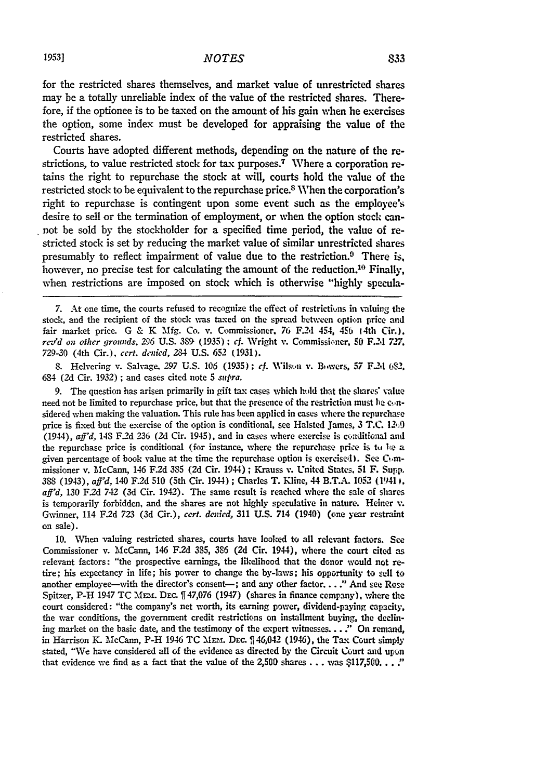for the restricted shares themselves, and market value of unrestricted shares may be a totally unreliable index of the value of the restricted shares. Therefore, if the optionee is to be taxed on the amount of his gain when he exercises the option, some index must be developed for appraising the value of the restricted shares.

Courts have adopted different methods, depending on the nature of the restrictions, to value restricted stock for tax purposes.<sup>7</sup> Where a corporation retains the right to repurchase the stock at will, courts hold the value of the restricted stock to be equivalent to the repurchase price.<sup>8</sup> When the corporation's right to repurchase is contingent upon some event such as the employee's desire to sell or the termination of employment, or when the option stock cannot be sold **by** the stockholder for a specified time period, the value of restricted stock is set **by** reducing the market value of similar unrestricted shares presumably to reflect impairment of value due to the restriction. $9$  There is, however, no precise test for calculating the amount of the reduction.<sup>10</sup> Finally, when restrictions are imposed on stock which is otherwise **"highly** specula-

7. At one time, the courts refused to recognize the effect of restrictions in valuing the stock, and the recipient of the stock was taxed on the spread between **option** price and fair market price. G & K **Mfg.** Co. **v.** Commissioner. 76 *F2d* 454, 456 14th Cir.). *re-rd on* other *grounds.* **296 U.S. 30- (1935): cf.** Wright v. Commissi.ner, **F0** F.2d **727. 729-30** (4th Cir.), cert. *denied, 284* **U.S. 652 (1931).**

**8.** Helvering **v.** Salvage, **297 U.S. 106 (1935);** *cf.* Wils.i v. Biwers, **57** F.2d 632. 684 **(2d** Cir. **1932)** ; and cases cited note **5** *supra.*

**9.** The question has arisen primarily in gift tax cases which hold that the shares' value need not be limited to repurchase price, but that the presence of the restriction must he considered when making the valuation. This rule has been applied in cases where the repurchase price is fixed but the exercise of the option is conditional, see Halsted James, **3 T.C.** *12,0* (1944), *aff'd,* 148 **F2d** *236* **(2d** Cir. 1945), and in cases where exercise is cilnditional and the repurchase price is conditional (for instance, where the repurchase price is  $t_0$  he a given percentage of book value at the time the repurchase option is exercised). See Commissioner v. McCann, 146 **F.2d 385 (2d** Cir. 1944) ; Krauss **v.** United States, **51** F. Supp. **388** (1943), *aff'd,* 140 **F2d 510** (5th Cir. 1944) ; Charles T. Kline, 44 **B.T.A. 1052 (1941 ,** *aff'd,* **130 F2d** *742* **(3d** Cir. 1942). The same result is reached where the sale of shares is temporarily forbidden, and the shares are not highly speculative in nature. Heiner v. Gwinner, 114 **F.2d 723 (3d** Cir.), *cert. denied,* **311 U.S.** 714 (1940) (one year restraint on sale).

**10.** When valuing restricted shares, courts have looked to all relevant factors. See Commissioner v. 'McCann, 146 F.2d **385,** 386 (2d Cir. 1944), where the court cited as relevant factors: "the prospective earnings, the likelihood that the donor would not retire; his expectancy in life; his power to change the by-laws; his opportunity to sell to another employee—with the director's consent—; and any other factor, . . ." And see Rose Spitzer, P-H 1947 TC MEM. DEc.  $[147,076]$  (1947) (shares in finance company), where the court considered: "the company's net worth, its earning power, dividend-paying capacity, the war conditions, the government credit restrictions on installment buying, the declining market on the basic date, and the testimony of the expert witnesses... **:'** On remand, in Harrison K. McCann, P-H 1946 TC MIrs. **DEc.** 1,46,042 (1946), the Tax Court simply stated, "We have considered all of the evidence as directed by the Circuit Court **and upon** that evidence we find as a fact that the value of the 2,500 shares **. . . was \$117,500... :'**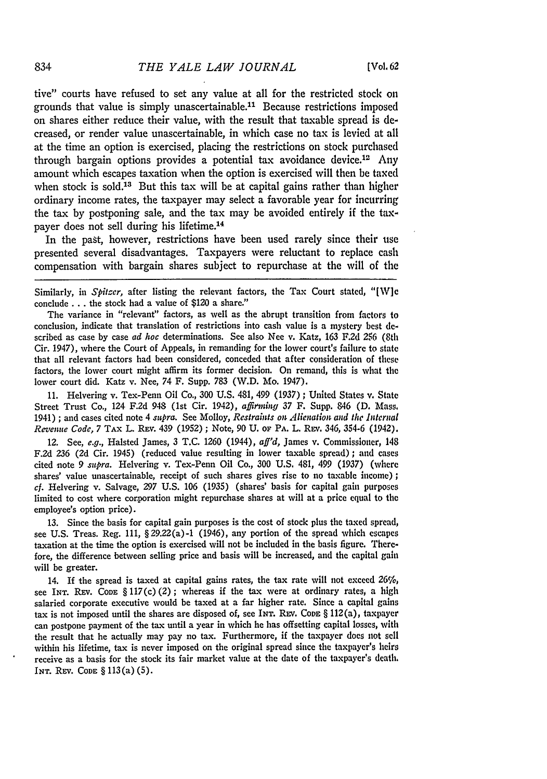tive" courts have refused to set any value at all for the restricted stock on grounds that value is simply unascertainable. 11 Because restrictions imposed on shares either reduce their value, with the result that taxable spread is decreased, or render value unascertainable, in which case no tax is levied at all at the time an option is exercised, placing the restrictions on stock purchased through bargain options provides a potential tax avoidance device.<sup>12</sup> Any amount which escapes taxation when the option is exercised will then be taxed when stock is sold.<sup>13</sup> But this tax will be at capital gains rather than higher ordinary income rates, the taxpayer may select a favorable year for incurring the tax by postponing sale, and the tax may be avoided entirely if the taxpayer does not sell during his lifetime. <sup>14</sup>

In the past, however, restrictions have been used rarely since their use presented several disadvantages. Taxpayers were reluctant to replace cash compensation with bargain shares subject to repurchase at the will of the

Similarly, in *Spitzer,* after listing the relevant factors, the Tax Court stated, "[W]c conclude **...** the stock had a value of \$120 a share."

The variance in "relevant" factors, as well as the abrupt transition from factors to conclusion, indicate that translation of restrictions into cash value is a mystery best described as case by case *ad hoc* determinations. See also Nee v. Katz, 163 F.2d **256** (8th Cir. 1947), where the Court of Appeals, in remanding for the lower court's failure to state that all relevant factors had been considered, conceded that after consideration of these factors, the lower court might affirm its former decision. On remand, this is what the lower court did. Katz v. Nee, 74 F. Supp. 783 (W.D. Mo. 1947).

11. Helvering v. Tex-Penn Oil Co., **300** U.S. 481, 499 (1937); United States v. State Street Trust Co., 124 F.2d 948 (1st Cir. 1942), *affirming 37* F. Supp. 846 **(D.** Mass, 1941) ; and cases cited note 4 *sapra.* See Molloy, *Restraints on Alienation and the Intcrnal Revenue Code, 7* TAx L. **REv.** 439 (1952) ; Note, 90 U. **OF** PA. L. REV. 346, 354-6 (1942).

12. See, *e.g.,* Halsted James, **3** T.C. 1260 (1944), *aff'd,* James v. Commissioner, 148 F.2d **236 (Zd** Cir. 1945) (reduced value resulting in lower taxable spread); and cases cited note 9 *supra*. Helvering v. Tex-Penn Oil Co., 300 U.S. 481, 499 (1937) (where shares' value unascertainable, receipt of such shares gives rise to no taxable income); *cf.* Helvering v. Salvage, 297 U.S. 106 (1935) (shares' basis for capital gain purposes limited to cost where corporation might repurchase shares at will at a price equal to the employee's option price).

**13.** Since the basis for capital gain purposes is the cost of stock plus the taxed spread, see U.S. Treas. Reg. 111, § 29.22 (a) -1 (1946), any portion of the spread which **escapes** taxation at the time the option is exercised will not be included in the basis figure. Therefore, the difference between selling price and basis will be increased, and the capital gain will be greater.

14. If the spread is taxed at capital gains rates, the tax rate will not exceed *26%,* see INT. REV. CODE § 117(c)(2); whereas if the tax were at ordinary rates, a high salaried corporate executive would be taxed at a far higher rate. Since a capital gains tax is not imposed until the shares are disposed of, see INT. REV. CoDE § 112(a), taxpayer can postpone payment of the tax until a year in which he has offsetting capital losses, with the result that he actually may pay no tax. Furthermore, if the taxpayer does not sell within his lifetime, tax is never imposed on the original spread since the taxpayer's heirs receive as a basis for the stock its fair market value at the date of the taxpayer's death. **INT.** REv. **CODE** § 113(a) **(5).**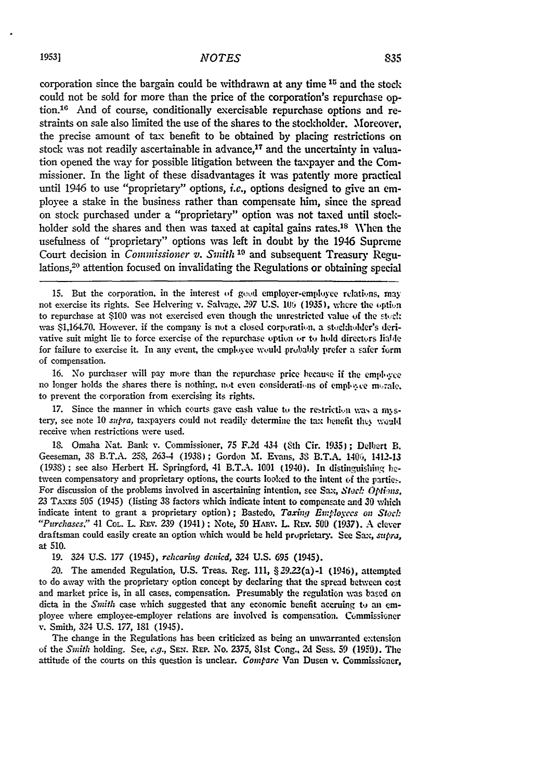corporation since the bargain could be withdrawn at any time <sup>15</sup> and the stock could not be sold for more than the price of the corporation's repurchase **op**tion.<sup>16</sup> And of course, conditionally exercisable repurchase options and restraints on sale also limited the use of the shares to the stockholder. Moreover, the precise amount of tax benefit to be obtained **by** placing restrictions on stock was not readily ascertainable in advance,<sup>17</sup> and the uncertainty in valuation opened the way for possible litigation between the taxpayer and the **Com**missioner. In the light of these disadvantages it was patently more practical until 1946 to use "proprietary" options, *i.e.,* options designed to give an employee a stake in the business rather than compensate him, since the spread on stock purchased under a "proprietary" option was not taxed until stockholder sold the shares and then was taxed at capital gains rates.<sup>18</sup> When the usefulness of "proprietary" options was left in doubt **by** the 1946 Supreme Court decision in *Commissioner v. Smith* **10** and subsequent Treasury Regulations,20 attention focused on invalidating the Regulations or obtaining special

**15.** But the corporation, in the interest of good employer-employee relations, may not exercise its rights. See Helvering v. Salvage, 297 U.S. 106 (1935), where the option to repurchase at \$100 was not exercised even though the unrestricted value of the stock was \$1,164.70. However, if the company is not a closed corporation, a stockholder's derivative suit might lie to force exercise of the repurchase option or to hold directors liable for failure to exercise it. In any event, the employee would probably prefer a safer form of compensation.

16. No purchaser will pay more than the repurchase price because if the employee no longer holds the shares there is nothing, not even considerations of employee morale, to prevent the corporation from exercising its rights.

17. Since the manner in which courts gave cash value to the restriction was a mystery, see note 10 *supra*, taxpayers could not readily determine the tax henefit they would receive when restrictions were used.

18. Omaha Nat. Bank v. Commissioner, 75 F.2d 434 (8th Cir. 1935); Delbert B. Geeseman, **38** B.T.A. 253, 263-4 (1938); Gordon M. Evans, **33** B.T.A. 140%, 1412-13 (1938) **;** see also Herbert H. Springford, 41 B.T.A. **1001** (1940). In distinguishing **fe.** tween compensatory and proprietary options, the courts looked to the intent **of** the partie,. For discussion of the problems involved in ascertaining intention, see Sax, *Stach Options*, **23 TAxEs** 505 (1945) (listing **38** factors which indicate intent to compensate and **30** which indicate intent to grant a proprietary option); Bastedo, *Taxing Employees on* **Stork** *"Purchases."* 41 COL. L. REv. **239** (1941) **;** Note, 50 HAMv. L REv. **500** (1937). A clever draftsman could easily create an option which would be held proprietary. See Sax, *smspra,* at **510.**

19. 324 U.S. 177 (1945), *rehcaring dcnicd,* 324 U.S. 695 (1945).

20. The amended Regulation, U.S. Treas. Reg. 111, §29.22(a)-i (1946), attempted to do away with the proprietary option concept **by** declaring that the spread behveen cost and market price is, in all cases, compensation. Presumably the regulation was based on dicta in the *Smith* case which suggested that any economic benefit accruing to an employee where employee-employer relations are involved is compensation. Commissioner v. Smith, 324 **U.S. 177, 181** (1945).

The change in the Regulations has been criticized as being an unwarranted extension of the *Smith* holding. See, *e.g.,* SEv. **REP.** No. 2375, 81st Cong., **2d** Sess. 59 **(1950).** The attitude of the courts on this question is unclear. *Compare* Van Dusen **%.** Commissioner,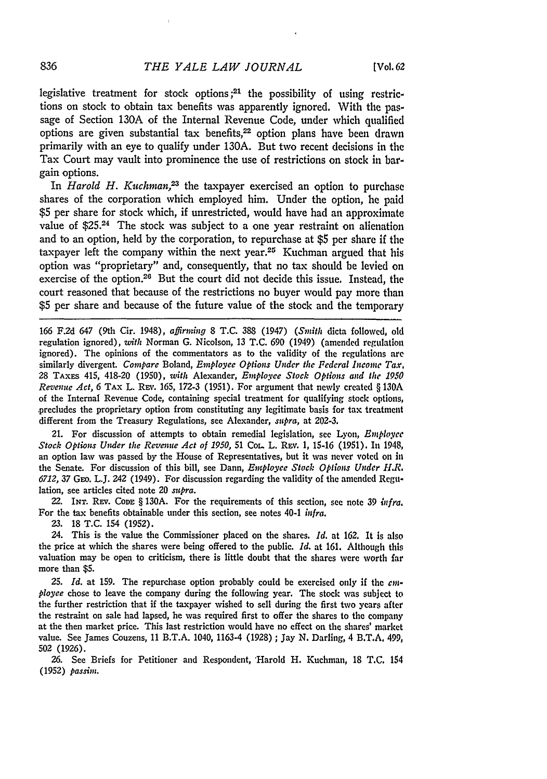legislative treatment for stock options;<sup>21</sup> the possibility of using restrictions on stock to obtain tax benefits was apparently ignored. With the passage of Section 130A of the Internal Revenue Code, under which qualified options are given substantial tax benefits,<sup>22</sup> option plans have been drawn primarily with an eye to qualify under 130A. But two recent decisions in the Tax Court may vault into prominence the use of restrictions on stock in bargain options.

In *Harold H. Kuchman*,<sup>23</sup> the taxpayer exercised an option to purchase shares of the corporation which employed him. Under the option, he paid \$5 per share for stock which, if unrestricted, would have had an approximate value of \$25.24 The stock was subject to a one year restraint on alienation and to an option, held by the corporation, to repurchase at \$5 per share if the taxpayer left the company within the next year.25 Kuchman argued that his option was "proprietary" and, consequently, that no tax should be levied on exercise of the option.26 But the court did not decide this issue. Instead, the court reasoned that because of the restrictions no buyer would pay more than \$5 per share and because of the future value of the stock and the temporary

166 F.2d 647 (9th Cir. 1948), affirming 8 T.C. 388 (1947) (Smith dicta followed, **old** regulation ignored), with Norman G. Nicolson, 13 T.C. 690 (1949) (amended regulation ignored). The opinions of the commentators as to the validity of the regulations are similarly divergent. *Compare* Boland, *Employee Options Under the Federal Income Tax,* **28 TAxEs** 415, 418-20 **(1950),** *with* Alexander, *Employee Stock Options and the 1950 Revenue Act, 6* **TAX** L. RE,. **165, 172-3 (1951).** For argument that newly created § **130A** of the Internal Revenue Code, containing special treatment for qualifying stock options, precludes the proprietary option from constituting any legitimate basis for tax treatment different from the Treasury Regulations, see Alexander, *supra,* at **202-3.**

21. For discussion of attempts to obtain remedial legislation, see Lyon, *Employee Stock Options Under the Revenue Act of 1950, 51 CoL. L. REV. 1, 15-16 (1951). In 1948,* an option law was passed by the House of Representatives, but it was never voted on **In** the Senate. For discussion of this bill, see Dann, *Employee Stock Options Under H.R. 6712,* 37 GEO. L.J. 242 (1949). For discussion regarding the validity of the amended Regulation, see articles cited note 20 *supra.*

**22. INT.** REv. CoDE § **130A.** For the requirements of this section, see note **39** *infra.* For the tax benefits obtainable under this section, see notes 40-1 *infra.* 

23. 18 **T.C.** 154 (1952).

24. This is the value the Commissioner placed on the shares. *Id.* at 162. It is also the price at which the shares were being offered to the public. *Id.* at 161. Although this valuation may be open to criticism, there is little doubt that the shares were worth far more than \$5.

*25. Id.* at 159. The repurchase option probably could be exercised only if the *employce* chose to leave the company during the following year. The stock was subject to the further restriction that if the taxpayer wished to sell during the first two years after the restraint on sale had lapsed, he was required first to offer the shares to the company at the then market price. This last restriction would have no effect on the shares' market value. See James Couzens, 11 B.T.A. 1040, 1163-4 (1928) ; Jay N. Darling, 4 B.T.A. 499, 502 (1926).

**26.** See Briefs for Petitioner and Respondent, 'Harold H. Kuchman, 18 **T,C.** 154 (1952) *passim.*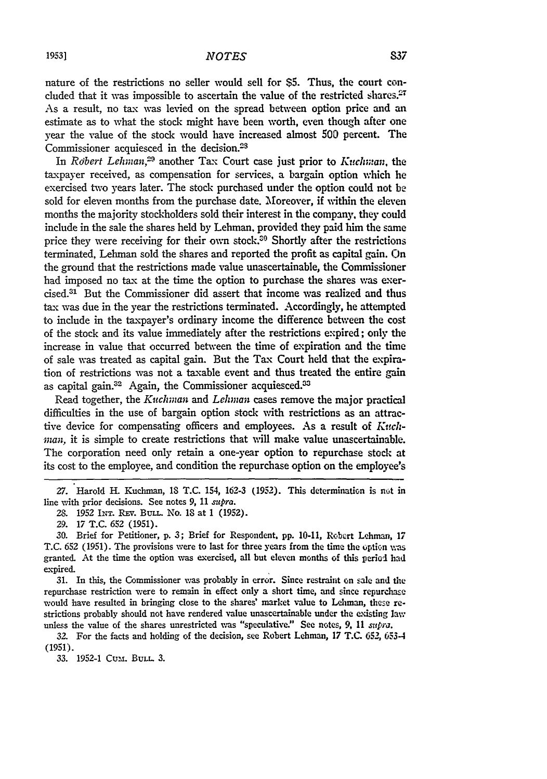nature of the restrictions no seller would sell for \$5. Thus, the court concluded that it was impossible to ascertain the value of the restricted shares.<sup>27</sup> As a result, no tax was levied on the spread between option price and an estimate as to what the stock might have been worth, even though after one year the value of the stock would have increased almost **500** percent. The Commissioner acquiesced in the decision.23

In *Robert Lehman*,<sup>29</sup> another Tax Court case just prior to *Kuchman*, the taxpayer received, as compensation for services, a bargain option which he exercised two years later. The stock purchased under the option could not be sold for eleven months from the purchase date. Moreover, if within the eleven months the majority stockholders sold their interest in the company, they could include in the sale the shares held by Lehman. provided they paid him the same price they were receiving for their own stock.<sup>30</sup> Shortly after the restrictions terminated, Lehman sold the shares and reported the profit as capital gain. On the ground that the restrictions made value unascertainable, the Commissioner had imposed no tax at the time the option to purchase the shares was exercised.31 But the Commissioner did assert that income was realized and thus tax was due in the year the restrictions terminated. Accordingly, he attempted to include in the taxpayer's ordinary income the difference between the cost of the stock and its value immediately after the restrictions expired; only the increase in value that occurred between the time of expiration and the time of sale was treated as capital gain. But the Tax Court held that the expiration of restrictions was not a taxable event and thus treated the entire gain as capital gain.<sup>32</sup> Again, the Commissioner acquiesced.<sup>33</sup>

Read together, the *Kuchman and Lehman* cases remove the major practical difficulties in the use of bargain option stock with restrictions as an attractive device for compensating officers and employees. As a result of *Kvich*man, it is simple to create restrictions that will make value unascertainable. The corporation need only retain a one-year option to repurchase stock at its cost to the employee, and condition the repurchase option on the employee's

31. In this, the Commissioner was probably in error. Since restraint on sale and the repurchase restriction were to remain in effect only a short time, and since repurchase would have resulted in bringing close to the shares' market value to Lehman, these restrictions probably should not have rendered value unascertainable under the existing law unless the value of the shares unrestricted was "speculative." See notes, 9, 11 *supra*.

**32.** For the facts and holding of the decision, see Robert Lehman, **17 T.C.** *652,* 653-4 (1951).

*33.* 1952-1 Cum. **BULL.** 3.

<sup>27.</sup> Harold H. Kuchman, 18 T.C. 154, 162-3 (1952). This determination is not in line with prior decisions. See notes 9, 11 *supra.*

<sup>28. 1952</sup> INT. REV. BULL. No. 18 at 1 (1952).

<sup>29. 17</sup> T.C. 652 (1951).

**<sup>30.</sup>** Brief for Petitioner, p. 3; Brief for Respondent, pp. 10-11, Robert Lehman, 17 T.C. 652 (1951). The provisions were to last for three years from the time the optin was granted. At the time the option was exercised, all but eleven months of this period had expired.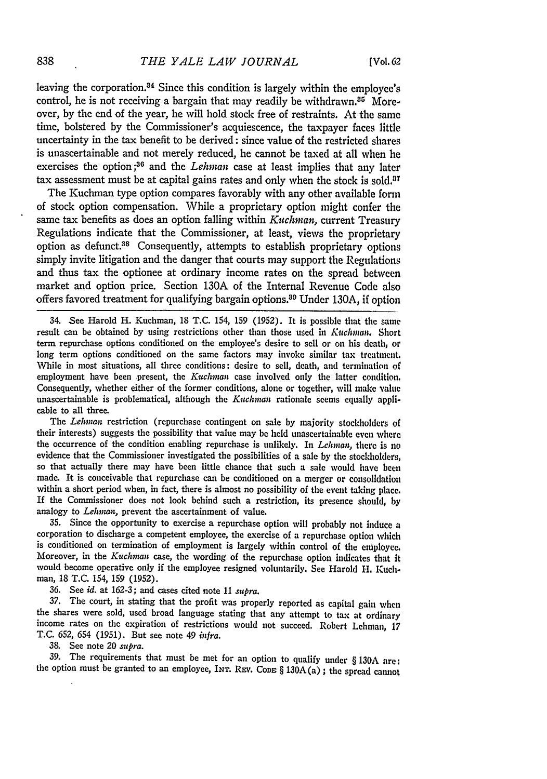leaving the corporation.<sup>34</sup> Since this condition is largely within the employee's control, he is not receiving a bargain that may readily be withdrawn.<sup>85</sup> Moreover, by the end of the year, he will hold stock free of restraints. At the same time, bolstered by the Commissioner's acquiescence, the taxpayer faces little uncertainty in the tax benefit to be derived: since value of the restricted shares is unascertainable and not merely reduced, he cannot be taxed at all when he exercises the option **; <sup>36</sup>**and the *Lehman* case at least implies that any later tax assessment must be at capital gains rates and only when the stock is sold, $07$ 

The Kuchman type option compares favorably with any other available form of stock option compensation. While a proprietary option might confer the same tax benefits as does an option falling within *Kuchman*, current Treasury Regulations indicate that the Commissioner, at least, views the proprietary option as defunct.38 Consequently, attempts to establish proprietary options simply invite litigation and the danger that courts may support the Regulations and thus tax the optionee at ordinary income rates on the spread between market and option price. Section **130A** of the Internal Revenue Code also offers favored treatment for qualifying bargain options.39 Under 130A, if option

34. See Harold H. Kuchman, **18** T.C. 154, **159** (1952). It is possible that the same result can be obtained by using restrictions other than those used in *Kuchmnan.* Short term repurchase options conditioned on the employee's desire to sell or on his death, or long term options conditioned on the same factors may invoke similar tax treatment. While in most situations, all three conditions: desire to sell, death, and termination **of** employment have been present, the *Kuchman* case involved only the latter condition. Consequently, whether either of the former conditions, alone or together, will make value unascertainable is problematical, although the *Kuchman* rationale seems equally applicable to all three.

The *Lehman* restriction (repurchase contingent on sale by majority stockholders of their interests) suggests the possibility that value may be held unascertainable even where the occurrence of the condition enabling repurchase is unlikely. In *Lehman,* there is no evidence that the Commissioner investigated the possibilities of a sale by the stockholders, so that actually there may have been little chance that such a sale would have been made. It is conceivable that repurchase can be conditioned on a merger or consolidation within a short period when, in fact, there is almost no possibility of the event taking place. If the Commissioner does not look behind such a restriction, its presence should, by analogy to *Lehman,* prevent the ascertainment of value.

**35.** Since the opportunity to exercise a repurchase option will probably not induce a corporation to discharge a competent employee, the exercise of a repurchase option which is conditioned on termination of employment is largely within control of the employee. Moreover, in the *Kuchinan* case, the wording of the repurchase option indicates that it would become operative only if the employee resigned voluntarily. See Harold H. Kuchman, 18 T.C. 154, 159 (1952).

**36.** See *id.* at 162-3; and cases cited note 11 *supra.*

37. The court, in stating that the profit was properly reported as capital gain when the shares were sold, used broad language stating that any attempt to tax at ordinary income rates on the expiration of restrictions would not succeed. Robert Lehman, 17 T.C. 652, 654 (1951). But see note 49 *infra.*

**38.** See note 20 *supra.*

**39.** The requirements that must be met for an option to qualify under § **130A** are: the option must be granted to an employee, **INT.** REV. **CoDE** § 130A(a) **;** the spread cannot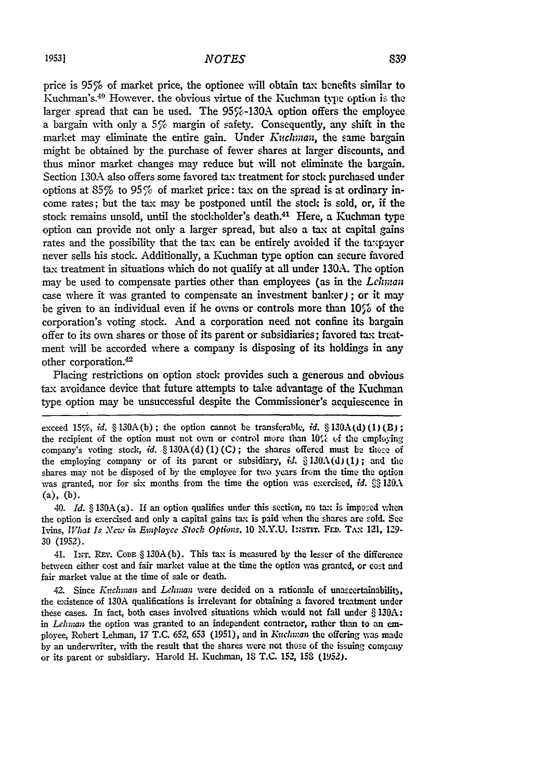price is 95% of market price, the optionee will obtain tax benefits similar to Kuchman's.<sup>40</sup> However, the obvious virtue of the Kuchman type option is the larger spread that can be used. The 95%-130A option offers the employee a bargain with only a  $5\%$  margin of safety. Consequently, any shift in the market may eliminate the entire gain. Under *Kuchman,* the same bargain might be obtained **by** the purchase of fewer shares at larger discounts, and thus minor market changes may reduce but will not eliminate the bargain. Section **130A** also offers some favored tax treatment for stock purchased under options at **85%** to 95% of market price: tax on the spread is at ordinary income rates; but the tax may be postponed until the stock is sold, or, if the stock remains unsold, until the stockholder's death.<sup>41</sup> Here, a Kuchman type option can provide not only a larger spread, but also a tax at capital gains rates and the possibility that the tax can be entirely avoided if the tawpayer never sells his stock. Additionally, a **Kuchman** type option can secure favored tax treatment in situations which do not qualify at all under **130A.** The option may be used to compensate parties other than employees (as in the *Lchwaa* case where it was granted to compensate an investment banker) ; or it may be given to an individual even if he owns or controls more than  $10\%$  of the corporation's voting stock. And a corporation need not confine its bargain offer to its own shares or those of its parent or subsidiaries; favored tax treatment will be accorded where a company is disposing of its holdings in any other corporation.<sup>42</sup>

Placing restrictions on option stock provides such a generous and obvious tax avoidance device that future attempts to take advantage of the Kuchman type option may be unsuccessful despite the Commissioner's acquiescence in

exceed  $15\%$ , *id.*  $§ 130A(b)$ ; the option cannot be transferable, *id.*  $§ 130A(d)(1)(B)$ ; the recipient of the option must not own or control more than 10% of the employing company's voting stock, *id.* § **130A(d) (1) (C);** the shares offered must *be* those of the employing company or of its parent or subsidiary,  $id. \S 130A(d)(1)$ ; and the shares may not be disposed of by the employee for two years from the time the option was granted, nor for six months from the time the option was exercised, *id.* §§ 130.A (a), **(b).**

40. *Id.* § 130A(a). If an option qualifies under this section, no tax is imposed when the option is exercised and only a capital gains tax is paid when the shares are sold. **See** Ivins, *What Is New in Employce Stock Options*. 10 N.Y.U. INSTIT. FED. TAX 121, 129-30 (1952).

41. INT. REV. CODE § 130A(b). This tax is measured by the lesser of the difference between either cost and fair market value at the time the option was granted, or cost and fair market value at the time of sale or death.

42. Since *Kuchman* and *Lehman* were decided on a rationale of unascertainability, the existence of **130A** qualifications is irrelevant for obtaining a favored treatment under these cases. In fact, both cases involved situations which would not **fall** under § **130A:** in *Lehman* the option was granted to an independent contractor, rather than to an employee, Robert Lehman, **17 T.C.** 652, **653** (1951), mid in *Ku dm:an* the offering was made by an underwriter, with the result that the shares were not thuse of the issuing company or its parent or subsidiary. Harold H. Kuchman, **18 T.C.** 152, *158* **(1952).**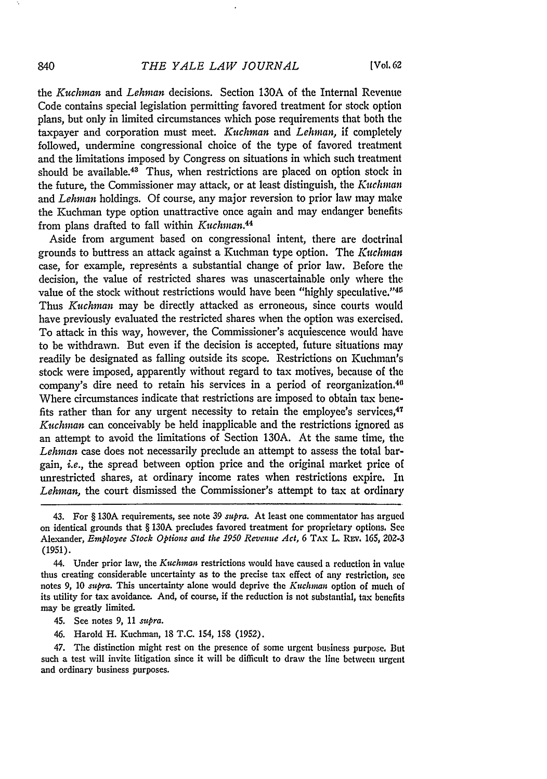the *Kuchman and Lehman* decisions. Section 130A of the Internal Revenue Code contains special legislation permitting favored treatment for stock option plans, but only in limited circumstances which pose requirements that both the taxpayer and corporation must meet. *Kuchman* and *Lehman,* if completely followed, undermine congressional choice of the type of favored treatment and the limitations imposed by Congress on situations in which such treatment should be available. $43$  Thus, when restrictions are placed on option stock in the future, the Commissioner may attack, or at least distinguish, the *Kuchman* and *Lehman* holdings. Of course, any major reversion to prior law may make the Kuchman type option unattractive once again and may endanger benefits from plans drafted to fall within *Kuchman.44*

Aside from argument based on congressional intent, there are doctrinal grounds to buttress an attack against a Kuchman type option. The *K'uchman* case, for example, represents a substantial change of prior law. Before the decision, the value of restricted shares was unascertainable only where the value of the stock without restrictions would have been "highly speculative."<sup>45</sup> Thus *Kuchman* may be directly attacked as erroneous, since courts would have previously evaluated the restricted shares when the option was exercised. To attack in this way, however, the Commissioner's acquiescence would have to be withdrawn. But even if the decision is accepted, future situations may readily be designated as falling outside its scope. Restrictions on Kuchman's stock were imposed, apparently without regard to tax motives, because of the company's dire need to retain his services in a period of reorganization.<sup>46</sup> Where circumstances indicate that restrictions are imposed to obtain tax benefits rather than for any urgent necessity to retain the employee's services,<sup>47</sup> *Kuchman* can conceivably be held inapplicable and the restrictions ignored as an attempt to avoid the limitations of Section 130A. At the same time, the *Lehman* case does not necessarily preclude an attempt to assess the total bargain, *i.e.,* the spread between option price and the original market price of unrestricted shares, at ordinary income rates when restrictions expire. In *Lehman,* the court dismissed the Commissioner's attempt to tax at ordinary

- 45. See notes 9, 11 *supra.*
- 46. Harold H. Kuchman, 18 T.C. 154, 158 (1952).

47. The distinction might rest on the presence of some urgent business purpose. But such a test will invite litigation since it will be difficult to draw the line between urgent and ordinary business purposes.

840

<sup>43.</sup> For § 130A requirements, see note 39 *supra.* At least one commentator has argued on identical grounds that § 130A precludes favored treatment for proprietary options. **See** Alexander, *Employee Stock Options and the 1950 Revenue Act,* 6 TAX L. REV. 165, **202-3** (1951).

<sup>44.</sup> Under prior law, the *Kuchman* restrictions would have caused a reduction in value thus creating considerable uncertainty as to the precise tax effect of any restriction, see notes 9, 10 *supra.* This uncertainty alone would deprive the *Kuchman* option of much of its utility for tax avoidance. And, of course, if the reduction is not substantial, tax benefits may be greatly limited.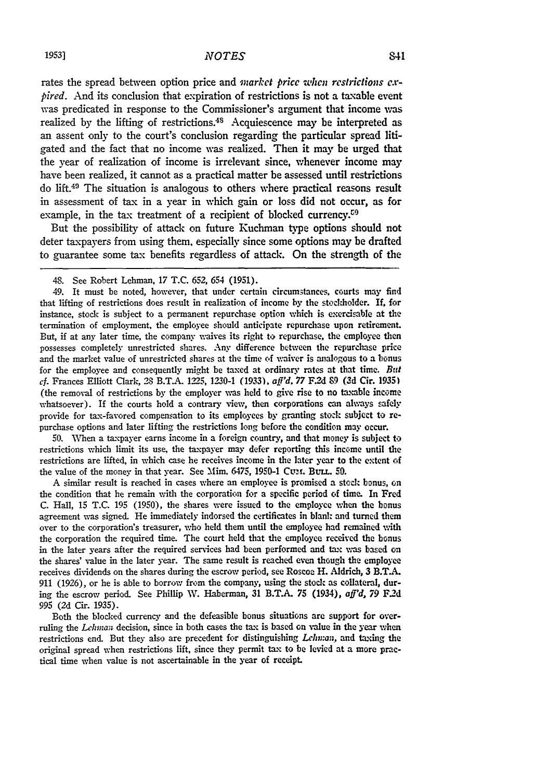rates the spread between option price and *market price when restrictions expired.* And its conclusion that expiration of restrictions is not a taxable event was predicated in response to the Commissioner's argument that income vas realized by the lifting of restrictions.<sup>48</sup> Acquiescence may be interpreted as an assent only to the court's conclusion regarding the particular spread litigated and the fact that no income was realized. Then it may be urged that the year of realization of income is irrelevant since, whenever income may have been realized, it cannot as a practical matter be assessed until restrictions do lift.49 The situation is analogous to others where practical reasons result in assessment of tax in a year in which gain or loss did not occur, as for example, in the tax treatment of a recipient of blocked currency. $59$ 

But the possibility of attack on future Ruchman type options should not deter taxpayers from using them, especially since some options may be drafted to guarantee some tax benefits regardless of attack. On the strength of the

49. It must be noted, however, that under certain circumstances, courts may find that lifting of restrictions does result in realization **of** income **by** the stockholder. If, for instance, stock is subject to a permanent repurchase option which is exercisable at the termination of employment, the employee should anticipate repurchase upon retirement. But, if at any later time, the company waives its right to repurchase, the employee then possesses completely unrestricted shares. Any difference between the repurchase price and the market value of unrestricted shares at the time **of** waiver is analogous to a bonus for the employee and consequently might be taxed at ordinary rates at that time. *But cf.* Frances Elliott Clark, 28 B.T.A. **1225, 1230-1 (1933),** *aff'd, 77* **F.2d 89 (3d** Cir. **1935)** (the removal of restrictions by the employer was held to give rise to no taxable income whatsoever). If the courts hold a contrary view, then corporations can always safely provide for tax-favored compensation to its employees by granting stock subject to repurchase options and later lifting the restrictions long before the condition may occur.

**50.** When a tax-payer earns income in a foreign country, and that money is subject to restrictions which limit its use, the taxpayer may defer reporting this income until the restrictions are lifted, in which case he receives income in the later year to the extent **of** the value of the money in that year. See Mim. 6475, 1950-1 CUM. BULL. 50.

**A** similar result is reached in cases where an employee is promised a stock bonus, on the condition that he remain with the corporation for a specific period of time. In Fred C. Hall, 15 T.C. **195** (1950), the shares were issued to the employee when the bonus agreement was signed. He immediately indorsed the certificates in blank and turned them over to the corporation's treasurer, who held them until the employee had remained with the corporation the required time. The court held that the employee received the bonus in the later years after the required services had been performed and tax was based on the shares' value in the later year. The same result is reached even though the employee receives dividends on the shares during the escrow period, see Roscoe H. Aldrich, 3 B.T.A. 911 (1926), or he is able to borrow from the company, using the stock as collateral, during the escrow period. See Phillip W. Haberman, 31 B.T.A. 75 (1934), *aff'd, 79* F2d **995** (2d Cir. 1935).

Both the blocked currency and the defeasible bonus situations are support for overruling the *Lehnas* decision, since in both cases the tax is based on value in the year when restrictions end. But they also are precedent for distinguishing *Lchunan,* and taxing the original spread when restrictions lift, since they permit tax to be levied at a more practical time when value is not ascertainable in the year of receipt.

<sup>48.</sup> See Robert Lehman, **17 T.C. 652,** 654 **(1951).**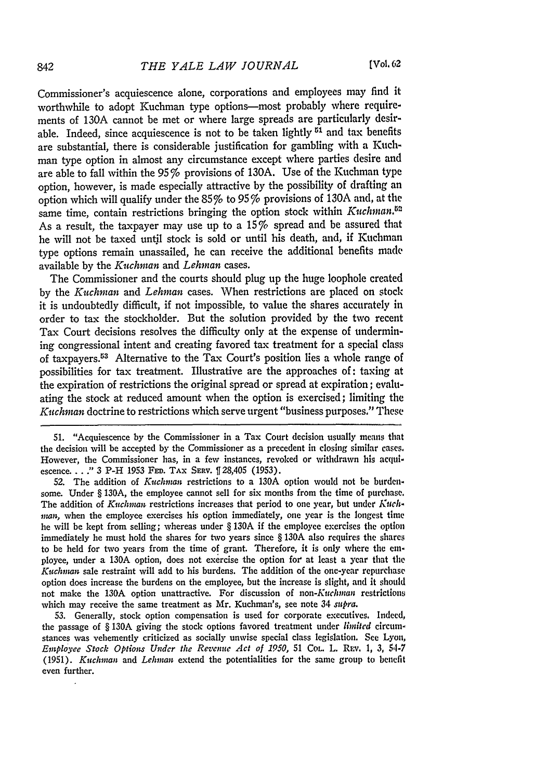Commissioner's acquiescence alone, corporations and employees may find it worthwhile to adopt Kuchman type options-most probably where requirements of 130A cannot be met or where large spreads are particularly desirable. Indeed, since acquiescence is not to be taken lightly **51** and tax benefits are substantial, there is considerable justification for gambling with a Kuchman type option in almost any circumstance except where parties desire and are able to fall within the  $95\%$  provisions of 130A. Use of the Kuchman type option, however, is made especially attractive **by** the possibility of drafting an option which will qualify under the  $85\%$  to  $95\%$  provisions of 130A and, at the same time, contain restrictions bringing the option stock within *Kuchman*.<sup>82</sup> As a result, the taxpayer may use up to a 15% spread and be assured that he will not be taxed until stock is sold or until his death, and, if Kuchman type options remain unassailed, he can receive the additional benefits made available **by** the *Kitchnman* and *Lehman* cases.

The Commissioner and the courts should plug up the huge loophole created **by** the *Kuchman and Lehman* cases. When restrictions are placed on stock it is undoubtedly difficult, if not impossible, to value the shares accurately in order to tax the stockholder. But the solution provided **by** the two recent Tax Court decisions resolves the difficulty only at the expense of undermining congressional intent and creating favored tax treatment for a special class of taxpayers.<sup>53</sup> Alternative to the Tax Court's position lies a whole range of possibilities for tax treatment. Illustrative are the approaches of: taxing at the expiration of restrictions the original spread or spread at expiration; evaluating the stock at reduced amount when the option is exercised; limiting the *Kutchman* doctrine to restrictions which serve urgent "business purposes." These

51. "Acquiescence by the Commissioner in a Tax Court decision usually means that the decision will be accepted by the Commissioner as a precedent in closing similar cases. However, the Commissioner has, in a few instances, revoked or withdrawn his acquiescence. . . . " 3 P-H 1953 FED. TAX SERV.  $\left[\right]$  28,405 (1953).

52. The addition of *Kuchman* restrictions to a 130A option would not **be** burdensome. Under § 130A, the employee cannot sell for six months from the time of purchase. The addition of *Kuchman* restrictions increases that period to one year, but under *Kuchman,* when the employee exercises his option immediately, one year is the longest time he will be kept from selling; whereas under § 130A if the employee exercises the option immediately he must hold the shares for two years since § 130A also requires the shares to be held for two years from the time of grant. Therefore, it is only where the em. ployee, under a 130A option, does not exercise the option **for'** at least a year that the *Kuichman* sale restraint will add to his burdens. The addition of the one-year repurchase option does increase the burdens on the employee, but the increase is slight, and it should not make the 130A option unattractive. For discussion of *non-Kuchman* restrictions which may receive the same treatment as Mr. Kuchman's, see note 34 supra.

53. Generally, stock option compensation is used for corporate executives, Indeed, the passage of § **130A** giving the stock options favored treatment under *limited* circumstances was vehemently criticized as socially unwise special class legislation. See Lyon, *Employee Stock Options Under the Revenue Act of 1950,* 51 COL. L. Rav. **1, 3,** *54-7* (1951). *Kuchman* and *Lehman* extend the potentialities for the same group to benefit even further.

842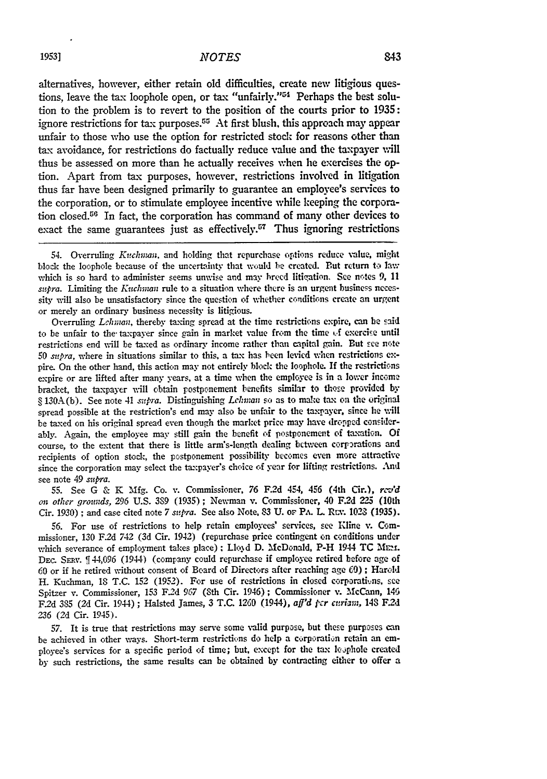alternatives, however, either retain old difficulties, create new litigious questions, leave the tax loophole open, or tax "unfairly."<sup>54</sup> Perhaps the best solution to the problem is to revert to the position of the courts prior to **1935:** ignore restrictions for tax purposes.<sup>55</sup> At first blush, this approach may appear unfair to those who use the option for restricted stock for reasons other than tax avoidance, for restrictions do factually reduce value and the taxpayer will thus be assessed on more than he actually receives when **he** exercises the option. Apart from tax purposes, however, restrictions involved in litigation thus far have been designed primarily to guarantee an employee's services to the corporation, or to stimulate employee incentive while keeping the corporation closed.<sup>56</sup> In fact, the corporation has command of many other devices to exact the same guarantees just as effectively.<sup>57</sup> Thus ignoring restrictions

54. Overruling *Kirchwan.* and holding that repurchase options reduce value, might block the loophole because of the uncertainty that voiuld be created. But return to law which is so hard to administer seems unwise and may breed litigation. See notes  $9$ , 11 *supra.* Limiting the *Kuchnman* rule to a situation where there is an urgent business necessity will also be unsatisfactory since the question of whether conditions create an urgent or merely an ordinary business necessity is litigious.

Overruling *Lhwman,* thereby taxing spread at the time restrictions expire, can be **said** to be unfair to the- taxpayer since gain in market value from the time tf exercise until restrictions end will be taxed as ordinary income rather than capital gain. But see note 50 *supra,* where in situations similar to this, a tax has been levied when restrictions expire. On the other hand, this action may not entirely block the loophole. **If** the restricticns expire or are lifted after many years. at a time when the employee is in a lower income bracket, the taxpayer will obtain postponement benefits similar to those provided by **§** 130A(b). See note 41 *supra.* Distinguishing *Lehman* so as to make tax on the original spread possible at the restriction's end may also be unfair to the taxpayer, since he will be taxed on his original spread even though the market price may have dropped considerably. Again, the employee may still gain the benefit of postponement of taxation. **Of** course, to the extent that there is little arm's-length dealing bctween corporations and recipients of option stock, the postponement possibility becomes even more attractive since the corporation may select the taxpayer's choice of year for lifting restrictions. And see note 49 *supra.*

**55.** See G & K Mfg. Co. v. Commissioner, 76 F.2d 454, 456 (4th Cir.), *rczid on other grounds,* 296 U.S. **389** (1935) ; Newman v. Commissioner, 40 F2d 225 (10th Cir. 1930) ; and case cited note 7 *supra.* See also Note. 83 U. **oF** PA. L Rcv. 1023 (1935).

56. For use of restrictions to help retain employees' services, see Kline **v.** Commissioner, 130 F.2d 742 (3d Cir. 1942) (repurchase price contingent on conditions under which severance of employment takes place); Lloyd D. McDonald, P-H 1944 TC MEM. DEC. SERV. **f** 44,096 (1944) (company could repurchase if employee retired before age of **60** or if he retired without consent of Board of Directors after reaching age **0) ;** Harold H. Kuchman, 18 T.C. 152 (1952). For use of restrictions in closed corporatuns, see Spitzer v. Commissioner, 153 **F.2d** 967 (Sth Cir. 1946); Commissioner **v.** McCann, 145 F2d 385 (2d Cir. 1944) ; Halsted James, 3 T.C. 1260 (1944), *aff'd per curiam, 148* F2d **236** (2d Cir. 1945).

**57.** It is true that restrictions may serve some valid purpose, but these purposes can be achieved in other ways. Short-term restrictions do help a corporation retain an employee's services for a specific period of time; but, except for the tax le, phole created by such restrictions, the same results can be obtained by contracting either to offer a